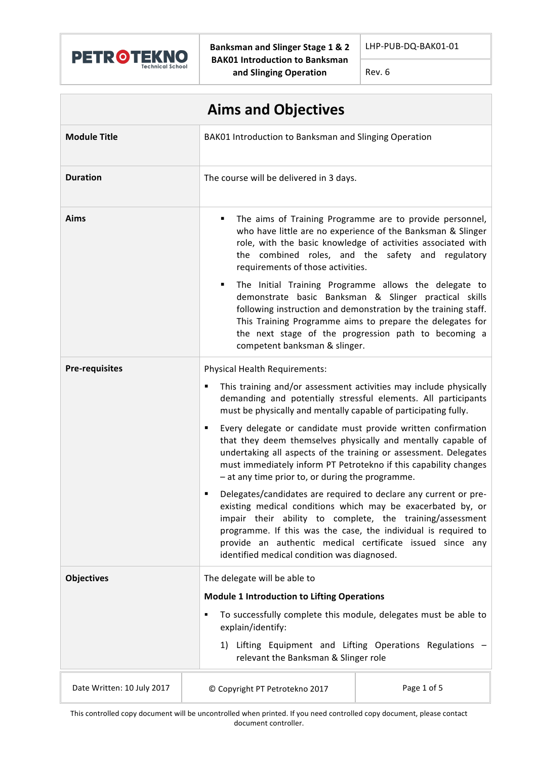

**Banksman and Slinger Stage 1 & 2 BAK01** Introduction to Banksman **and Slinging Operation**

LHP-PUB-DQ-BAK01-01

Rev. 6

| <b>Aims and Objectives</b> |                                                                                                                                                                                                                                                                                                                                                                                 |                                                                                                                                                                                                                                                                                                       |
|----------------------------|---------------------------------------------------------------------------------------------------------------------------------------------------------------------------------------------------------------------------------------------------------------------------------------------------------------------------------------------------------------------------------|-------------------------------------------------------------------------------------------------------------------------------------------------------------------------------------------------------------------------------------------------------------------------------------------------------|
| <b>Module Title</b>        | BAK01 Introduction to Banksman and Slinging Operation                                                                                                                                                                                                                                                                                                                           |                                                                                                                                                                                                                                                                                                       |
| <b>Duration</b>            | The course will be delivered in 3 days.                                                                                                                                                                                                                                                                                                                                         |                                                                                                                                                                                                                                                                                                       |
| <b>Aims</b>                | The aims of Training Programme are to provide personnel,<br>٠<br>who have little are no experience of the Banksman & Slinger<br>role, with the basic knowledge of activities associated with<br>the combined roles, and the safety and regulatory<br>requirements of those activities.                                                                                          |                                                                                                                                                                                                                                                                                                       |
|                            | ٠<br>competent banksman & slinger.                                                                                                                                                                                                                                                                                                                                              | The Initial Training Programme allows the delegate to<br>demonstrate basic Banksman & Slinger practical skills<br>following instruction and demonstration by the training staff.<br>This Training Programme aims to prepare the delegates for<br>the next stage of the progression path to becoming a |
| <b>Pre-requisites</b>      | Physical Health Requirements:                                                                                                                                                                                                                                                                                                                                                   |                                                                                                                                                                                                                                                                                                       |
|                            | This training and/or assessment activities may include physically<br>٠<br>demanding and potentially stressful elements. All participants<br>must be physically and mentally capable of participating fully.                                                                                                                                                                     |                                                                                                                                                                                                                                                                                                       |
|                            | Every delegate or candidate must provide written confirmation<br>٠<br>that they deem themselves physically and mentally capable of<br>undertaking all aspects of the training or assessment. Delegates<br>must immediately inform PT Petrotekno if this capability changes<br>- at any time prior to, or during the programme.                                                  |                                                                                                                                                                                                                                                                                                       |
|                            | Delegates/candidates are required to declare any current or pre-<br>٠<br>existing medical conditions which may be exacerbated by, or<br>impair their ability to complete, the training/assessment<br>programme. If this was the case, the individual is required to<br>provide an authentic medical certificate issued since any<br>identified medical condition was diagnosed. |                                                                                                                                                                                                                                                                                                       |
| <b>Objectives</b>          | The delegate will be able to                                                                                                                                                                                                                                                                                                                                                    |                                                                                                                                                                                                                                                                                                       |
|                            | <b>Module 1 Introduction to Lifting Operations</b>                                                                                                                                                                                                                                                                                                                              |                                                                                                                                                                                                                                                                                                       |
|                            | To successfully complete this module, delegates must be able to<br>٠<br>explain/identify:                                                                                                                                                                                                                                                                                       |                                                                                                                                                                                                                                                                                                       |
|                            | 1)<br>relevant the Banksman & Slinger role                                                                                                                                                                                                                                                                                                                                      | Lifting Equipment and Lifting Operations Regulations -                                                                                                                                                                                                                                                |
| Date Written: 10 July 2017 | © Copyright PT Petrotekno 2017                                                                                                                                                                                                                                                                                                                                                  | Page 1 of 5                                                                                                                                                                                                                                                                                           |

This controlled copy document will be uncontrolled when printed. If you need controlled copy document, please contact document controller.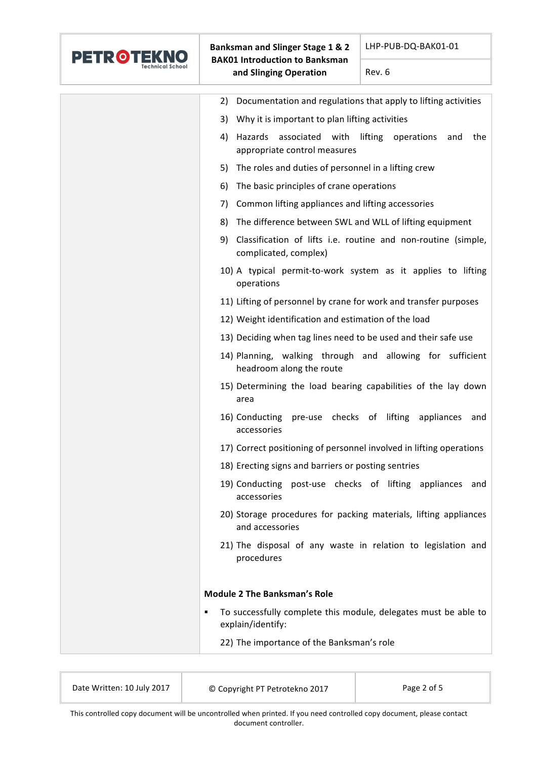

| Documentation and regulations that apply to lifting activities<br>2)                                 |
|------------------------------------------------------------------------------------------------------|
| Why it is important to plan lifting activities<br>3)                                                 |
| associated with lifting<br>4)<br>Hazards<br>operations<br>the<br>and<br>appropriate control measures |
| The roles and duties of personnel in a lifting crew<br>5)                                            |
| 6)<br>The basic principles of crane operations                                                       |
| Common lifting appliances and lifting accessories<br>7)                                              |
| The difference between SWL and WLL of lifting equipment<br>8)                                        |
| 9)<br>Classification of lifts i.e. routine and non-routine (simple,<br>complicated, complex)         |
| 10) A typical permit-to-work system as it applies to lifting<br>operations                           |
| 11) Lifting of personnel by crane for work and transfer purposes                                     |
| 12) Weight identification and estimation of the load                                                 |
| 13) Deciding when tag lines need to be used and their safe use                                       |
| 14) Planning, walking through and allowing for sufficient<br>headroom along the route                |
| 15) Determining the load bearing capabilities of the lay down<br>area                                |
| 16) Conducting pre-use checks of lifting appliances and<br>accessories                               |
| 17) Correct positioning of personnel involved in lifting operations                                  |
| 18) Erecting signs and barriers or posting sentries                                                  |
| 19) Conducting post-use checks of lifting appliances and<br>accessories                              |
| 20) Storage procedures for packing materials, lifting appliances<br>and accessories                  |
| 21) The disposal of any waste in relation to legislation and<br>procedures                           |
| <b>Module 2 The Banksman's Role</b>                                                                  |
| To successfully complete this module, delegates must be able to<br>٠                                 |
| explain/identify:                                                                                    |
| 22) The importance of the Banksman's role                                                            |
|                                                                                                      |

| Date Written: 10 July 2017 | © Copyright PT Petrotekno 2017 | Page 2 of 5 |
|----------------------------|--------------------------------|-------------|
|                            |                                |             |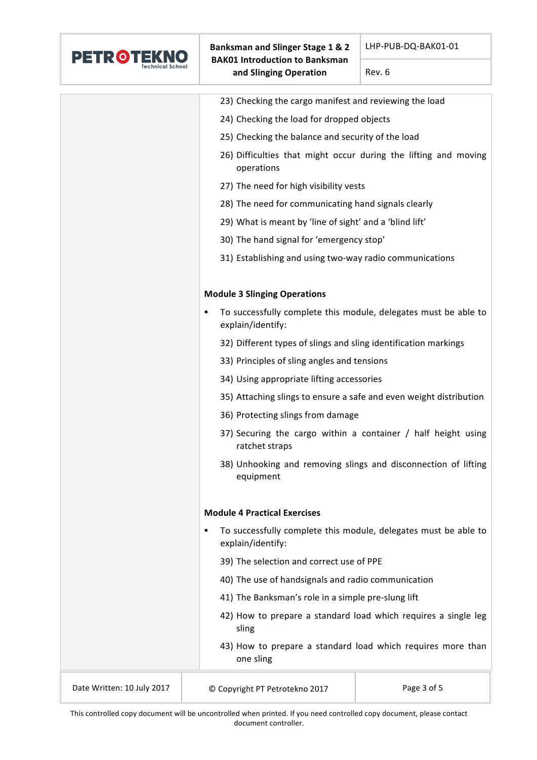

Rev. 6

|                                                         | 23) Checking the cargo manifest and reviewing the load                                    |  |
|---------------------------------------------------------|-------------------------------------------------------------------------------------------|--|
|                                                         | 24) Checking the load for dropped objects                                                 |  |
|                                                         | 25) Checking the balance and security of the load                                         |  |
|                                                         | 26) Difficulties that might occur during the lifting and moving<br>operations             |  |
|                                                         | 27) The need for high visibility vests                                                    |  |
|                                                         | 28) The need for communicating hand signals clearly                                       |  |
| 29) What is meant by 'line of sight' and a 'blind lift' |                                                                                           |  |
|                                                         | 30) The hand signal for 'emergency stop'                                                  |  |
|                                                         | 31) Establishing and using two-way radio communications                                   |  |
|                                                         | <b>Module 3 Slinging Operations</b>                                                       |  |
|                                                         | To successfully complete this module, delegates must be able to<br>٠<br>explain/identify: |  |
|                                                         | 32) Different types of slings and sling identification markings                           |  |
|                                                         | 33) Principles of sling angles and tensions                                               |  |
|                                                         | 34) Using appropriate lifting accessories                                                 |  |
|                                                         | 35) Attaching slings to ensure a safe and even weight distribution                        |  |
|                                                         | 36) Protecting slings from damage                                                         |  |
|                                                         | 37) Securing the cargo within a container / half height using<br>ratchet straps           |  |
|                                                         | 38) Unhooking and removing slings and disconnection of lifting<br>equipment               |  |
|                                                         | <b>Module 4 Practical Exercises</b>                                                       |  |
|                                                         | To successfully complete this module, delegates must be able to<br>٠<br>explain/identify: |  |
| 39) The selection and correct use of PPE                |                                                                                           |  |
| 40) The use of handsignals and radio communication      |                                                                                           |  |
|                                                         | 41) The Banksman's role in a simple pre-slung lift                                        |  |
|                                                         | 42) How to prepare a standard load which requires a single leg<br>sling                   |  |
|                                                         | 43) How to prepare a standard load which requires more than<br>one sling                  |  |
| Date Written: 10 July 2017                              | Page 3 of 5<br>© Copyright PT Petrotekno 2017                                             |  |

This controlled copy document will be uncontrolled when printed. If you need controlled copy document, please contact document controller.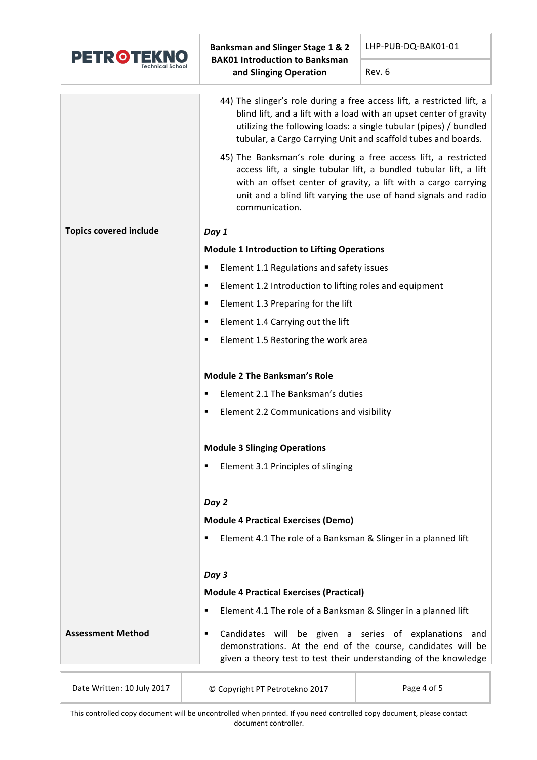

**Banksman and Slinger Stage 1 & 2 BAK01** Introduction to Banksman **and Slinging Operation**

LHP-PUB-DQ-BAK01-01

Rev. 6

|                               | 44) The slinger's role during a free access lift, a restricted lift, a<br>blind lift, and a lift with a load with an upset center of gravity<br>utilizing the following loads: a single tubular (pipes) / bundled<br>tubular, a Cargo Carrying Unit and scaffold tubes and boards.<br>45) The Banksman's role during a free access lift, a restricted<br>access lift, a single tubular lift, a bundled tubular lift, a lift<br>with an offset center of gravity, a lift with a cargo carrying<br>unit and a blind lift varying the use of hand signals and radio<br>communication. |  |
|-------------------------------|------------------------------------------------------------------------------------------------------------------------------------------------------------------------------------------------------------------------------------------------------------------------------------------------------------------------------------------------------------------------------------------------------------------------------------------------------------------------------------------------------------------------------------------------------------------------------------|--|
| <b>Topics covered include</b> | Day 1                                                                                                                                                                                                                                                                                                                                                                                                                                                                                                                                                                              |  |
|                               | <b>Module 1 Introduction to Lifting Operations</b>                                                                                                                                                                                                                                                                                                                                                                                                                                                                                                                                 |  |
|                               | Element 1.1 Regulations and safety issues<br>٠                                                                                                                                                                                                                                                                                                                                                                                                                                                                                                                                     |  |
|                               | Element 1.2 Introduction to lifting roles and equipment<br>٠                                                                                                                                                                                                                                                                                                                                                                                                                                                                                                                       |  |
|                               | Element 1.3 Preparing for the lift<br>п                                                                                                                                                                                                                                                                                                                                                                                                                                                                                                                                            |  |
|                               | Element 1.4 Carrying out the lift<br>٠                                                                                                                                                                                                                                                                                                                                                                                                                                                                                                                                             |  |
|                               | Element 1.5 Restoring the work area<br>п                                                                                                                                                                                                                                                                                                                                                                                                                                                                                                                                           |  |
|                               | <b>Module 2 The Banksman's Role</b>                                                                                                                                                                                                                                                                                                                                                                                                                                                                                                                                                |  |
|                               | Element 2.1 The Banksman's duties<br>٠                                                                                                                                                                                                                                                                                                                                                                                                                                                                                                                                             |  |
|                               | Element 2.2 Communications and visibility<br>п                                                                                                                                                                                                                                                                                                                                                                                                                                                                                                                                     |  |
|                               | <b>Module 3 Slinging Operations</b>                                                                                                                                                                                                                                                                                                                                                                                                                                                                                                                                                |  |
|                               | Element 3.1 Principles of slinging<br>п                                                                                                                                                                                                                                                                                                                                                                                                                                                                                                                                            |  |
|                               |                                                                                                                                                                                                                                                                                                                                                                                                                                                                                                                                                                                    |  |
|                               | Day 2                                                                                                                                                                                                                                                                                                                                                                                                                                                                                                                                                                              |  |
|                               | <b>Module 4 Practical Exercises (Demo)</b>                                                                                                                                                                                                                                                                                                                                                                                                                                                                                                                                         |  |
|                               | Element 4.1 The role of a Banksman & Slinger in a planned lift<br>٠                                                                                                                                                                                                                                                                                                                                                                                                                                                                                                                |  |
|                               | Day 3                                                                                                                                                                                                                                                                                                                                                                                                                                                                                                                                                                              |  |
|                               | <b>Module 4 Practical Exercises (Practical)</b>                                                                                                                                                                                                                                                                                                                                                                                                                                                                                                                                    |  |
|                               | Element 4.1 The role of a Banksman & Slinger in a planned lift<br>٠                                                                                                                                                                                                                                                                                                                                                                                                                                                                                                                |  |
| <b>Assessment Method</b>      | Candidates will be given a series of explanations and<br>٠<br>demonstrations. At the end of the course, candidates will be<br>given a theory test to test their understanding of the knowledge                                                                                                                                                                                                                                                                                                                                                                                     |  |
|                               |                                                                                                                                                                                                                                                                                                                                                                                                                                                                                                                                                                                    |  |

| Date Written: 10 July 2017 | © Copyright PT Petrotekno 2017 | Page 4 of 5 |
|----------------------------|--------------------------------|-------------|
|                            |                                |             |

This controlled copy document will be uncontrolled when printed. If you need controlled copy document, please contact document controller.